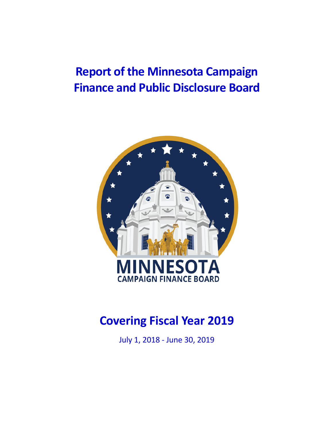# **Report of the Minnesota Campaign Finance and Public Disclosure Board**



# **Covering Fiscal Year 2019**

July 1, 2018 - June 30, 2019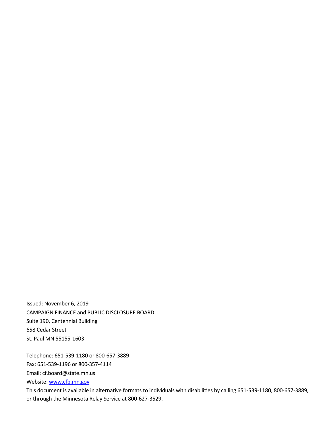Issued: November 6, 2019 CAMPAIGN FINANCE and PUBLIC DISCLOSURE BOARD Suite 190, Centennial Building 658 Cedar Street St. Paul MN 55155-1603

Telephone: 651-539-1180 or 800-657-3889

Fax: 651-539-1196 or 800-357-4114

Email: cf.board@state.mn.us

Website: www.cfb.mn.gov

This document is available in alternative formats to individuals with disabilities by calling 651-539-1180, 800-657-3889, or through the Minnesota Relay Service at 800-627-3529.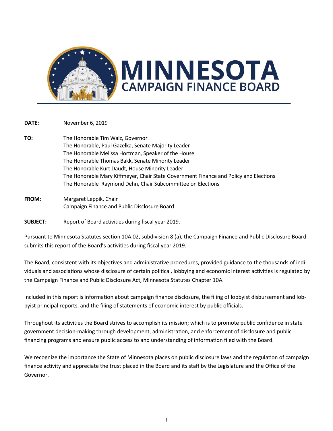

**DATE:** November 6, 2019

- **TO:** The Honorable Tim Walz, Governor The Honorable, Paul Gazelka, Senate Majority Leader The Honorable Melissa Hortman, Speaker of the House The Honorable Thomas Bakk, Senate Minority Leader The Honorable Kurt Daudt, House Minority Leader The Honorable Mary Kiffmeyer, Chair State Government Finance and Policy and Elections The Honorable Raymond Dehn, Chair Subcommittee on Elections
- **FROM:** Margaret Leppik, Chair Campaign Finance and Public Disclosure Board

**SUBJECT:** Report of Board activities during fiscal year 2019.

Pursuant to Minnesota Statutes section 10A.02, subdivision 8 (a), the Campaign Finance and Public Disclosure Board submits this report of the Board's activities during fiscal year 2019.

The Board, consistent with its objectives and administrative procedures, provided guidance to the thousands of individuals and associations whose disclosure of certain political, lobbying and economic interest activities is regulated by the Campaign Finance and Public Disclosure Act, Minnesota Statutes Chapter 10A.

Included in this report is information about campaign finance disclosure, the filing of lobbyist disbursement and lobbyist principal reports, and the filing of statements of economic interest by public officials.

Throughout its activities the Board strives to accomplish its mission; which is to promote public confidence in state government decision-making through development, administration, and enforcement of disclosure and public financing programs and ensure public access to and understanding of information filed with the Board.

We recognize the importance the State of Minnesota places on public disclosure laws and the regulation of campaign finance activity and appreciate the trust placed in the Board and its staff by the Legislature and the Office of the Governor.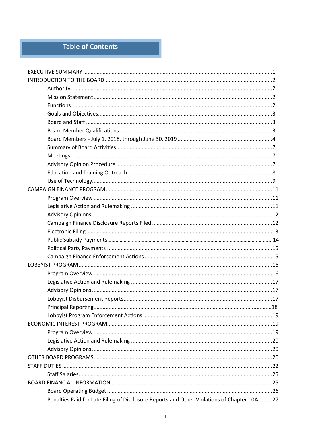### Table of Contents

| Penalties Paid for Late Filing of Disclosure Reports and Other Violations of Chapter 10A 27 |  |
|---------------------------------------------------------------------------------------------|--|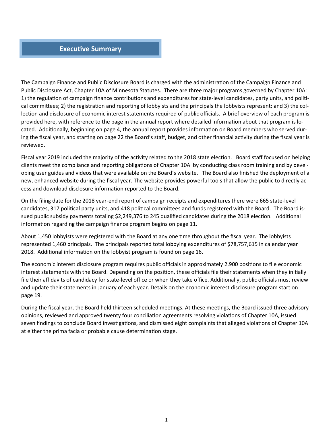#### **Executive Summary**

The Campaign Finance and Public Disclosure Board is charged with the administration of the Campaign Finance and Public Disclosure Act, Chapter 10A of Minnesota Statutes. There are three major programs governed by Chapter 10A: 1) the regulation of campaign finance contributions and expenditures for state-level candidates, party units, and political committees; 2) the registration and reporting of lobbyists and the principals the lobbyists represent; and 3) the collection and disclosure of economic interest statements required of public officials. A brief overview of each program is provided here, with reference to the page in the annual report where detailed information about that program is located. Additionally, beginning on page 4, the annual report provides information on Board members who served during the fiscal year, and starting on page 22 the Board's staff, budget, and other financial activity during the fiscal year is reviewed.

Fiscal year 2019 included the majority of the activity related to the 2018 state election. Board staff focused on helping clients meet the compliance and reporting obligations of Chapter 10A by conducting class room training and by developing user guides and videos that were available on the Board's website. The Board also finished the deployment of a new, enhanced website during the fiscal year. The website provides powerful tools that allow the public to directly access and download disclosure information reported to the Board.

On the filing date for the 2018 year-end report of campaign receipts and expenditures there were 665 state-level candidates, 317 political party units, and 418 political committees and funds registered with the Board. The Board issued public subsidy payments totaling \$2,249,376 to 245 qualified candidates during the 2018 election. Additional information regarding the campaign finance program begins on page 11.

About 1,450 lobbyists were registered with the Board at any one time throughout the fiscal year. The lobbyists represented 1,460 principals. The principals reported total lobbying expenditures of \$78,757,615 in calendar year 2018. Additional information on the lobbyist program is found on page 16.

The economic interest disclosure program requires public officials in approximately 2,900 positions to file economic interest statements with the Board. Depending on the position, these officials file their statements when they initially file their affidavits of candidacy for state-level office or when they take office. Additionally, public officials must review and update their statements in January of each year. Details on the economic interest disclosure program start on page 19.

During the fiscal year, the Board held thirteen scheduled meetings. At these meetings, the Board issued three advisory opinions, reviewed and approved twenty four conciliation agreements resolving violations of Chapter 10A, issued seven findings to conclude Board investigations, and dismissed eight complaints that alleged violations of Chapter 10A at either the prima facia or probable cause determination stage.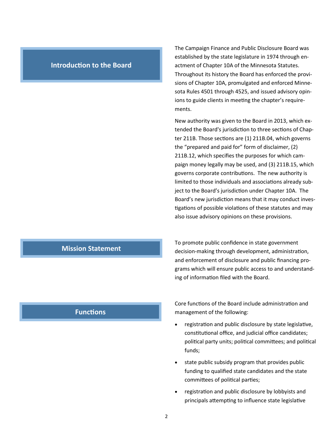#### **Introduction to the Board**

The Campaign Finance and Public Disclosure Board was established by the state legislature in 1974 through enactment of Chapter 10A of the Minnesota Statutes. Throughout its history the Board has enforced the provisions of Chapter 10A, promulgated and enforced Minnesota Rules 4501 through 4525, and issued advisory opinions to guide clients in meeting the chapter's requirements.

New authority was given to the Board in 2013, which extended the Board's jurisdiction to three sections of Chapter 211B. Those sections are (1) 211B.04, which governs the "prepared and paid for" form of disclaimer, (2) 211B.12, which specifies the purposes for which campaign money legally may be used, and (3) 211B.15, which governs corporate contributions. The new authority is limited to those individuals and associations already subject to the Board's jurisdiction under Chapter 10A. The Board's new jurisdiction means that it may conduct investigations of possible violations of these statutes and may also issue advisory opinions on these provisions.

To promote public confidence in state government decision-making through development, administration, and enforcement of disclosure and public financing programs which will ensure public access to and understanding of information filed with the Board.

#### **Functions**

**Mission Statement**

Core functions of the Board include administration and management of the following:

- registration and public disclosure by state legislative, constitutional office, and judicial office candidates; political party units; political committees; and political funds;
- state public subsidy program that provides public funding to qualified state candidates and the state committees of political parties;
- registration and public disclosure by lobbyists and principals attempting to influence state legislative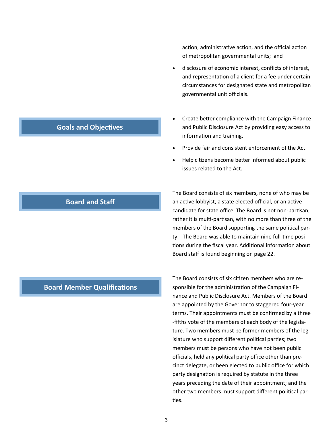action, administrative action, and the official action of metropolitan governmental units; and

- disclosure of economic interest, conflicts of interest, and representation of a client for a fee under certain circumstances for designated state and metropolitan governmental unit officials.
- Create better compliance with the Campaign Finance and Public Disclosure Act by providing easy access to information and training.
- Provide fair and consistent enforcement of the Act.
- Help citizens become better informed about public issues related to the Act.

The Board consists of six members, none of who may be an active lobbyist, a state elected official, or an active candidate for state office. The Board is not non-partisan; rather it is multi-partisan, with no more than three of the members of the Board supporting the same political party. The Board was able to maintain nine full-time positions during the fiscal year. Additional information about Board staff is found beginning on page 22.

**Board Member Qualifications**

The Board consists of six citizen members who are responsible for the administration of the Campaign Finance and Public Disclosure Act. Members of the Board are appointed by the Governor to staggered four-year terms. Their appointments must be confirmed by a three -fifths vote of the members of each body of the legislature. Two members must be former members of the legislature who support different political parties; two members must be persons who have not been public officials, held any political party office other than precinct delegate, or been elected to public office for which party designation is required by statute in the three years preceding the date of their appointment; and the other two members must support different political parties.

### **Goals and Objectives**

**Board and Staff**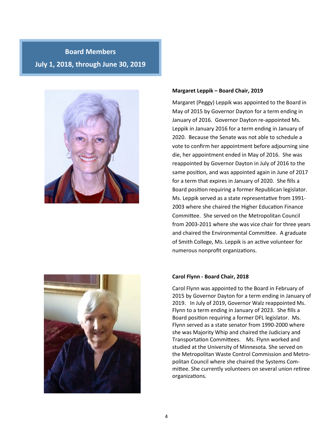## **Board Members July 1, 2018, through June 30, 2019**



#### **Margaret Leppik – Board Chair, 2019**

Margaret (Peggy) Leppik was appointed to the Board in May of 2015 by Governor Dayton for a term ending in January of 2016. Governor Dayton re-appointed Ms. Leppik in January 2016 for a term ending in January of 2020. Because the Senate was not able to schedule a vote to confirm her appointment before adjourning sine die, her appointment ended in May of 2016. She was reappointed by Governor Dayton in July of 2016 to the same position, and was appointed again in June of 2017 for a term that expires in January of 2020. She fills a Board position requiring a former Republican legislator. Ms. Leppik served as a state representative from 1991- 2003 where she chaired the Higher Education Finance Committee. She served on the Metropolitan Council from 2003-2011 where she was vice chair for three years and chaired the Environmental Committee. A graduate of Smith College, Ms. Leppik is an active volunteer for numerous nonprofit organizations.

#### **Carol Flynn - Board Chair, 2018**

Carol Flynn was appointed to the Board in February of 2015 by Governor Dayton for a term ending in January of 2019. In July of 2019, Governor Walz reappointed Ms. Flynn to a term ending in January of 2023. She fills a Board position requiring a former DFL legislator. Ms. Flynn served as a state senator from 1990-2000 where she was Majority Whip and chaired the Judiciary and Transportation Committees. Ms. Flynn worked and studied at the University of Minnesota. She served on the Metropolitan Waste Control Commission and Metropolitan Council where she chaired the Systems Committee. She currently volunteers on several union retiree organizations.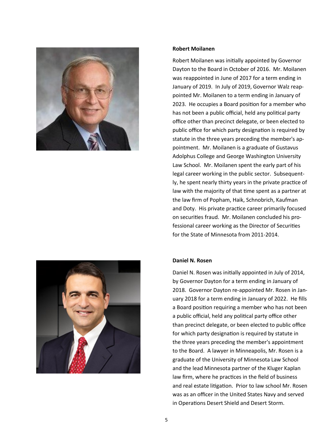



#### **Robert Moilanen**

Robert Moilanen was initially appointed by Governor Dayton to the Board in October of 2016. Mr. Moilanen was reappointed in June of 2017 for a term ending in January of 2019. In July of 2019, Governor Walz reappointed Mr. Moilanen to a term ending in January of 2023. He occupies a Board position for a member who has not been a public official, held any political party office other than precinct delegate, or been elected to public office for which party designation is required by statute in the three years preceding the member's appointment. Mr. Moilanen is a graduate of Gustavus Adolphus College and George Washington University Law School. Mr. Moilanen spent the early part of his legal career working in the public sector. Subsequently, he spent nearly thirty years in the private practice of law with the majority of that time spent as a partner at the law firm of Popham, Haik, Schnobrich, Kaufman and Doty. His private practice career primarily focused on securities fraud. Mr. Moilanen concluded his professional career working as the Director of Securities for the State of Minnesota from 2011-2014.

#### **Daniel N. Rosen**

Daniel N. Rosen was initially appointed in July of 2014, by Governor Dayton for a term ending in January of 2018. Governor Dayton re-appointed Mr. Rosen in January 2018 for a term ending in January of 2022. He fills a Board position requiring a member who has not been a public official, held any political party office other than precinct delegate, or been elected to public office for which party designation is required by statute in the three years preceding the member's appointment to the Board. A lawyer in Minneapolis, Mr. Rosen is a graduate of the University of Minnesota Law School and the lead Minnesota partner of the Kluger Kaplan law firm, where he practices in the field of business and real estate litigation. Prior to law school Mr. Rosen was as an officer in the United States Navy and served in Operations Desert Shield and Desert Storm.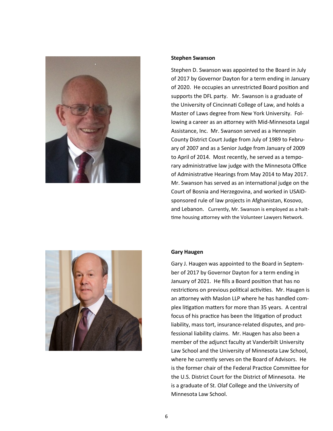

#### **Stephen Swanson**

Stephen D. Swanson was appointed to the Board in July of 2017 by Governor Dayton for a term ending in January of 2020. He occupies an unrestricted Board position and supports the DFL party. Mr. Swanson is a graduate of the University of Cincinnati College of Law, and holds a Master of Laws degree from New York University. Following a career as an attorney with Mid-Minnesota Legal Assistance, Inc. Mr. Swanson served as a Hennepin County District Court Judge from July of 1989 to February of 2007 and as a Senior Judge from January of 2009 to April of 2014. Most recently, he served as a temporary administrative law judge with the Minnesota Office of Administrative Hearings from May 2014 to May 2017. Mr. Swanson has served as an international judge on the Court of Bosnia and Herzegovina, and worked in USAIDsponsored rule of law projects in Afghanistan, Kosovo, and Lebanon. Currently, Mr. Swanson is employed as a halttime housing attorney with the Volunteer Lawyers Network.



#### **Gary Haugen**

Gary J. Haugen was appointed to the Board in September of 2017 by Governor Dayton for a term ending in January of 2021. He fills a Board position that has no restrictions on previous political activities. Mr. Haugen is an attorney with Maslon LLP where he has handled complex litigation matters for more than 35 years. A central focus of his practice has been the litigation of product liability, mass tort, insurance-related disputes, and professional liability claims. Mr. Haugen has also been a member of the adjunct faculty at Vanderbilt University Law School and the University of Minnesota Law School, where he currently serves on the Board of Advisors. He is the former chair of the Federal Practice Committee for the U.S. District Court for the District of Minnesota. He is a graduate of St. Olaf College and the University of Minnesota Law School.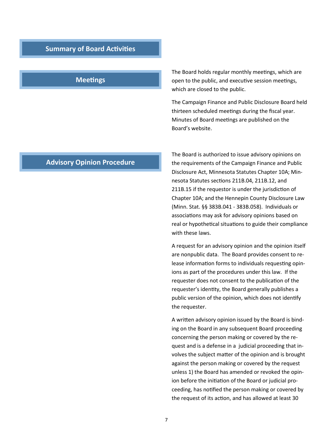#### **Summary of Board Activities**

#### **Meetings**

The Board holds regular monthly meetings, which are open to the public, and executive session meetings, which are closed to the public.

The Campaign Finance and Public Disclosure Board held thirteen scheduled meetings during the fiscal year. Minutes of Board meetings are published on the Board's website.

#### **Advisory Opinion Procedure**

The Board is authorized to issue advisory opinions on the requirements of the Campaign Finance and Public Disclosure Act, Minnesota Statutes Chapter 10A; Minnesota Statutes sections 211B.04, 211B.12, and 211B.15 if the requestor is under the jurisdiction of Chapter 10A; and the Hennepin County Disclosure Law (Minn. Stat. §§ 383B.041 - 383B.058). Individuals or associations may ask for advisory opinions based on real or hypothetical situations to guide their compliance with these laws.

A request for an advisory opinion and the opinion itself are nonpublic data. The Board provides consent to release information forms to individuals requesting opinions as part of the procedures under this law. If the requester does not consent to the publication of the requester's identity, the Board generally publishes a public version of the opinion, which does not identify the requester.

A written advisory opinion issued by the Board is binding on the Board in any subsequent Board proceeding concerning the person making or covered by the request and is a defense in a judicial proceeding that involves the subject matter of the opinion and is brought against the person making or covered by the request unless 1) the Board has amended or revoked the opinion before the initiation of the Board or judicial proceeding, has notified the person making or covered by the request of its action, and has allowed at least 30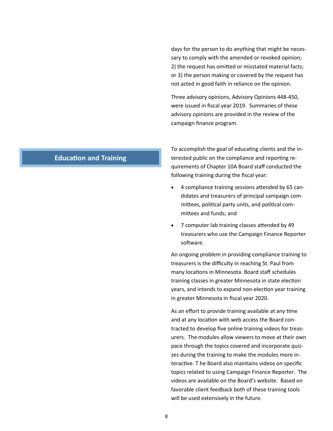days for the person to do anything that might be necessary to comply with the amended or revoked opinion; 2) the request has omitted or misstated material facts; or 3) the person making or covered by the request has not acted in good faith in reliance on the opinion.

Three advisory opinions, Advisory Opinions 448-450, were issued in fiscal year 2019. Summaries of these advisory opinions are provided in the review of the campaign finance program.

#### **Education and Training**

To accomplish the goal of educating clients and the interested public on the compliance and reporting requirements of Chapter 10A Board staff conducted the following training during the fiscal year:

- 4 compliance training sessions attended by 65 candidates and treasurers of principal campaign committees, political party units, and political committees and funds; and
- 7 computer lab training classes attended by 49 treasurers who use the Campaign Finance Reporter software.

An ongoing problem in providing compliance training to treasurers is the difficulty in reaching St. Paul from many locations in Minnesota. Board staff schedules training classes in greater Minnesota in state election years, and intends to expand non-election year training in greater Minnesota in fiscal year 2020.

As an effort to provide training available at any time and at any location with web access the Board contracted to develop five online training videos for treasurers. The modules allow viewers to move at their own pace through the topics covered and incorporate quizzes during the training to make the modules more interactive. T he Board also maintains videos on specific topics related to using Campaign Finance Reporter. The videos are available on the Board's website. Based on favorable client feedback both of these training tools will be used extensively in the future.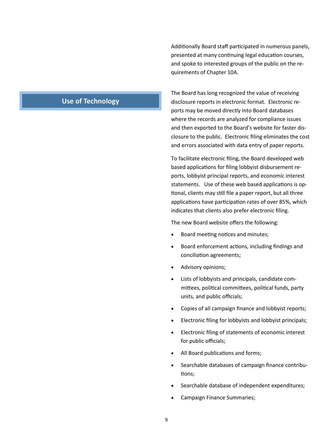Additionally Board staff participated in numerous panels, presented at many continuing legal education courses, and spoke to interested groups of the public on the requirements of Chapter 10A.

### **Use of Technology**

The Board has long recognized the value of receiving disclosure reports in electronic format. Electronic reports may be moved directly into Board databases where the records are analyzed for compliance issues and then exported to the Board's website for faster disclosure to the public. Electronic filing eliminates the cost and errors associated with data entry of paper reports.

To facilitate electronic filing, the Board developed web based applications for filing lobbyist disbursement reports, lobbyist principal reports, and economic interest statements. Use of these web based applications is optional, clients may still file a paper report, but all three applications have participation rates of over 85%, which indicates that clients also prefer electronic filing.

The new Board website offers the following:

- Board meeting notices and minutes;
- Board enforcement actions, including findings and conciliation agreements;
- Advisory opinions;
- Lists of lobbyists and principals, candidate committees, political committees, political funds, party units, and public officials;
- Copies of all campaign finance and lobbyist reports;
- Electronic filing for lobbyists and lobbyist principals;
- Electronic filing of statements of economic interest for public officials;
- All Board publications and forms;
- Searchable databases of campaign finance contributions;
- Searchable database of independent expenditures;
- Campaign Finance Summaries;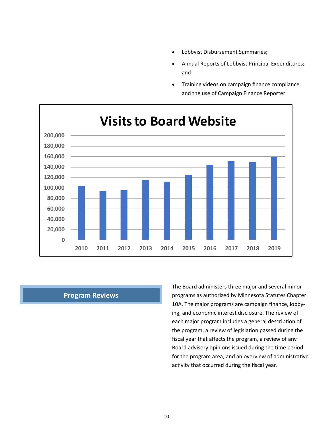- Lobbyist Disbursement Summaries;
- Annual Reports of Lobbyist Principal Expenditures; and
- Training videos on campaign finance compliance and the use of Campaign Finance Reporter.



#### **Program Reviews**

The Board administers three major and several minor programs as authorized by Minnesota Statutes Chapter 10A. The major programs are campaign finance, lobbying, and economic interest disclosure. The review of each major program includes a general description of the program, a review of legislation passed during the fiscal year that affects the program, a review of any Board advisory opinions issued during the time period for the program area, and an overview of administrative activity that occurred during the fiscal year.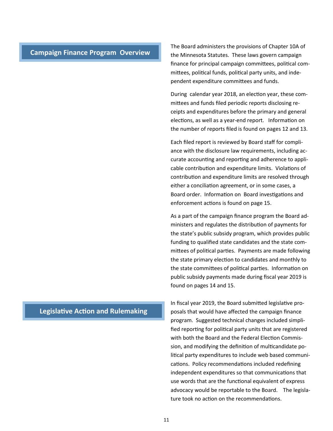#### **Campaign Finance Program Overview**

The Board administers the provisions of Chapter 10A of the Minnesota Statutes. These laws govern campaign finance for principal campaign committees, political committees, political funds, political party units, and independent expenditure committees and funds.

During calendar year 2018, an election year, these committees and funds filed periodic reports disclosing receipts and expenditures before the primary and general elections, as well as a year-end report. Information on the number of reports filed is found on pages 12 and 13.

Each filed report is reviewed by Board staff for compliance with the disclosure law requirements, including accurate accounting and reporting and adherence to applicable contribution and expenditure limits. Violations of contribution and expenditure limits are resolved through either a conciliation agreement, or in some cases, a Board order. Information on Board investigations and enforcement actions is found on page 15.

As a part of the campaign finance program the Board administers and regulates the distribution of payments for the state's public subsidy program, which provides public funding to qualified state candidates and the state committees of political parties. Payments are made following the state primary election to candidates and monthly to the state committees of political parties. Information on public subsidy payments made during fiscal year 2019 is found on pages 14 and 15.

In fiscal year 2019, the Board submitted legislative proposals that would have affected the campaign finance program. Suggested technical changes included simplified reporting for political party units that are registered with both the Board and the Federal Election Commission, and modifying the definition of multicandidate political party expenditures to include web based communications. Policy recommendations included redefining independent expenditures so that communications that use words that are the functional equivalent of express advocacy would be reportable to the Board. The legislature took no action on the recommendations.

#### **Legislative Action and Rulemaking**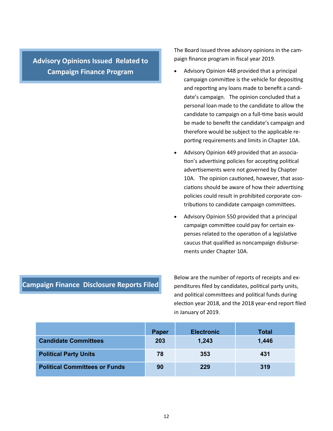**Advisory Opinions Issued Related to Campaign Finance Program**

The Board issued three advisory opinions in the campaign finance program in fiscal year 2019.

- Advisory Opinion 448 provided that a principal campaign committee is the vehicle for depositing and reporting any loans made to benefit a candidate's campaign. The opinion concluded that a personal loan made to the candidate to allow the candidate to campaign on a full-time basis would be made to benefit the candidate's campaign and therefore would be subject to the applicable reporting requirements and limits in Chapter 10A.
- Advisory Opinion 449 provided that an association's advertising policies for accepting political advertisements were not governed by Chapter 10A. The opinion cautioned, however, that associations should be aware of how their advertising policies could result in prohibited corporate contributions to candidate campaign committees.
- Advisory Opinion 550 provided that a principal campaign committee could pay for certain expenses related to the operation of a legislative caucus that qualified as noncampaign disbursements under Chapter 10A.

#### **Campaign Finance Disclosure Reports Filed**

Below are the number of reports of receipts and expenditures filed by candidates, political party units, and political committees and political funds during election year 2018, and the 2018 year-end report filed in January of 2019.

|                                      | Paper | <b>Electronic</b> | <b>Total</b> |
|--------------------------------------|-------|-------------------|--------------|
| <b>Candidate Committees</b>          | 203   | 1,243             | 1,446        |
| <b>Political Party Units</b>         | 78    | 353               | 431          |
| <b>Political Committees or Funds</b> | 90    | 229               | 319          |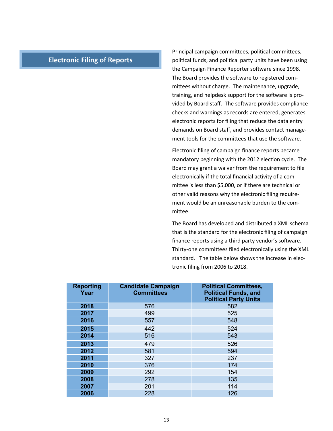#### **Electronic Filing of Reports**

Principal campaign committees, political committees, political funds, and political party units have been using the Campaign Finance Reporter software since 1998. The Board provides the software to registered committees without charge. The maintenance, upgrade, training, and helpdesk support for the software is provided by Board staff. The software provides compliance checks and warnings as records are entered, generates electronic reports for filing that reduce the data entry demands on Board staff, and provides contact management tools for the committees that use the software.

Electronic filing of campaign finance reports became mandatory beginning with the 2012 election cycle. The Board may grant a waiver from the requirement to file electronically if the total financial activity of a committee is less than \$5,000, or if there are technical or other valid reasons why the electronic filing requirement would be an unreasonable burden to the committee.

The Board has developed and distributed a XML schema that is the standard for the electronic filing of campaign finance reports using a third party vendor's software. Thirty-one committees filed electronically using the XML standard. The table below shows the increase in electronic filing from 2006 to 2018.

| <b>Reporting</b><br>Year | <b>Candidate Campaign</b><br><b>Committees</b> | <b>Political Committees,</b><br><b>Political Funds, and</b><br><b>Political Party Units</b> |
|--------------------------|------------------------------------------------|---------------------------------------------------------------------------------------------|
| 2018                     | 576                                            | 582                                                                                         |
| 2017                     | 499                                            | 525                                                                                         |
| 2016                     | 557                                            | 548                                                                                         |
| 2015                     | 442                                            | 524                                                                                         |
| 2014                     | 516                                            | 543                                                                                         |
| 2013                     | 479                                            | 526                                                                                         |
| 2012                     | 581                                            | 594                                                                                         |
| 2011                     | 327                                            | 237                                                                                         |
| 2010                     | 376                                            | 174                                                                                         |
| 2009                     | 292                                            | 154                                                                                         |
| 2008                     | 278                                            | 135                                                                                         |
| 2007                     | 201                                            | 114                                                                                         |
| 2006                     | 228                                            | 126                                                                                         |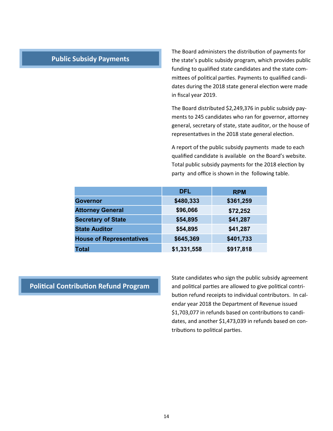#### **Public Subsidy Payments**

The Board administers the distribution of payments for the state's public subsidy program, which provides public funding to qualified state candidates and the state committees of political parties. Payments to qualified candidates during the 2018 state general election were made in fiscal year 2019.

The Board distributed \$2,249,376 in public subsidy payments to 245 candidates who ran for governor, attorney general, secretary of state, state auditor, or the house of representatives in the 2018 state general election.

A report of the public subsidy payments made to each qualified candidate is available on the Board's website. Total public subsidy payments for the 2018 election by party and office is shown in the following table.

|                                 | <b>DFL</b>  | <b>RPM</b> |
|---------------------------------|-------------|------------|
| Governor                        | \$480,333   | \$361,259  |
| <b>Attorney General</b>         | \$96,066    | \$72,252   |
| <b>Secretary of State</b>       | \$54,895    | \$41,287   |
| <b>State Auditor</b>            | \$54,895    | \$41,287   |
| <b>House of Representatives</b> | \$645,369   | \$401,733  |
| <b>Total</b>                    | \$1,331,558 | \$917,818  |

#### **Political Contribution Refund Program**

State candidates who sign the public subsidy agreement and political parties are allowed to give political contribution refund receipts to individual contributors. In calendar year 2018 the Department of Revenue issued \$1,703,077 in refunds based on contributions to candidates, and another \$1,473,039 in refunds based on contributions to political parties.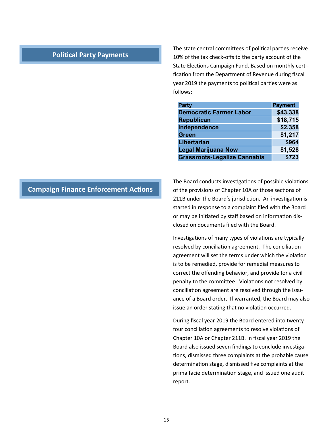#### **Political Party Payments**

The state central committees of political parties receive 10% of the tax check-offs to the party account of the State Elections Campaign Fund. Based on monthly certification from the Department of Revenue during fiscal year 2019 the payments to political parties were as follows:

| <b>Party</b>                        | <b>Payment</b> |
|-------------------------------------|----------------|
| <b>Democratic Farmer Labor</b>      | \$43,338       |
| <b>Republican</b>                   | \$18,715       |
| Independence                        | \$2,358        |
| <b>Green</b>                        | \$1,217        |
| <b>Libertarian</b>                  | \$964          |
| <b>Legal Marijuana Now</b>          | \$1,528        |
| <b>Grassroots-Legalize Cannabis</b> | \$723          |

#### **Campaign Finance Enforcement Actions**

The Board conducts investigations of possible violations of the provisions of Chapter 10A or those sections of 211B under the Board's jurisdiction. An investigation is started in response to a complaint filed with the Board or may be initiated by staff based on information disclosed on documents filed with the Board.

Investigations of many types of violations are typically resolved by conciliation agreement. The conciliation agreement will set the terms under which the violation is to be remedied, provide for remedial measures to correct the offending behavior, and provide for a civil penalty to the committee. Violations not resolved by conciliation agreement are resolved through the issuance of a Board order. If warranted, the Board may also issue an order stating that no violation occurred.

During fiscal year 2019 the Board entered into twentyfour conciliation agreements to resolve violations of Chapter 10A or Chapter 211B. In fiscal year 2019 the Board also issued seven findings to conclude investigations, dismissed three complaints at the probable cause determination stage, dismissed five complaints at the prima facie determination stage, and issued one audit report.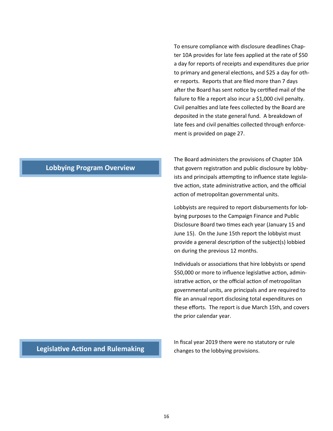To ensure compliance with disclosure deadlines Chapter 10A provides for late fees applied at the rate of \$50 a day for reports of receipts and expenditures due prior to primary and general elections, and \$25 a day for other reports. Reports that are filed more than 7 days after the Board has sent notice by certified mail of the failure to file a report also incur a \$1,000 civil penalty. Civil penalties and late fees collected by the Board are deposited in the state general fund. A breakdown of late fees and civil penalties collected through enforcement is provided on page 27.

The Board administers the provisions of Chapter 10A that govern registration and public disclosure by lobbyists and principals attempting to influence state legislative action, state administrative action, and the official action of metropolitan governmental units.

Lobbyists are required to report disbursements for lobbying purposes to the Campaign Finance and Public Disclosure Board two times each year (January 15 and June 15). On the June 15th report the lobbyist must provide a general description of the subject(s) lobbied on during the previous 12 months.

Individuals or associations that hire lobbyists or spend \$50,000 or more to influence legislative action, administrative action, or the official action of metropolitan governmental units, are principals and are required to file an annual report disclosing total expenditures on these efforts. The report is due March 15th, and covers the prior calendar year.

#### **Lobbying Program Overview**

**Legislative Action and Rulemaking**

In fiscal year 2019 there were no statutory or rule changes to the lobbying provisions.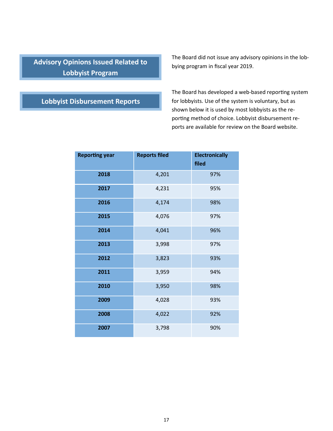### **Advisory Opinions Issued Related to Lobbyist Program**

#### The Board did not issue any advisory opinions in the lobbying program in fiscal year 2019.

### **Lobbyist Disbursement Reports**

The Board has developed a web-based reporting system for lobbyists. Use of the system is voluntary, but as shown below it is used by most lobbyists as the reporting method of choice. Lobbyist disbursement reports are available for review on the Board website.

| <b>Reporting year</b> | <b>Reports filed</b> | <b>Electronically</b><br>filed |
|-----------------------|----------------------|--------------------------------|
| 2018                  | 4,201                | 97%                            |
| 2017                  | 4,231                | 95%                            |
| 2016                  | 4,174                | 98%                            |
| 2015                  | 4,076                | 97%                            |
| 2014                  | 4,041                | 96%                            |
| 2013                  | 3,998                | 97%                            |
| 2012                  | 3,823                | 93%                            |
| 2011                  | 3,959                | 94%                            |
| 2010                  | 3,950                | 98%                            |
| 2009                  | 4,028                | 93%                            |
| 2008                  | 4,022                | 92%                            |
| 2007                  | 3,798                | 90%                            |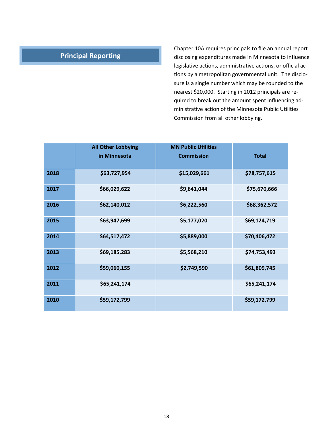### **Principal Reporting**

Chapter 10A requires principals to file an annual report disclosing expenditures made in Minnesota to influence legislative actions, administrative actions, or official actions by a metropolitan governmental unit. The disclosure is a single number which may be rounded to the nearest \$20,000. Starting in 2012 principals are required to break out the amount spent influencing administrative action of the Minnesota Public Utilities Commission from all other lobbying.

|      | <b>All Other Lobbying</b> | <b>MN Public Utilities</b> |              |
|------|---------------------------|----------------------------|--------------|
|      | in Minnesota              | <b>Commission</b>          | <b>Total</b> |
| 2018 | \$63,727,954              | \$15,029,661               | \$78,757,615 |
| 2017 | \$66,029,622              | \$9,641,044                | \$75,670,666 |
| 2016 | \$62,140,012              | \$6,222,560                | \$68,362,572 |
| 2015 | \$63,947,699              | \$5,177,020                | \$69,124,719 |
| 2014 | \$64,517,472              | \$5,889,000                | \$70,406,472 |
| 2013 | \$69,185,283              | \$5,568,210                | \$74,753,493 |
| 2012 | \$59,060,155              | \$2,749,590                | \$61,809,745 |
| 2011 | \$65,241,174              |                            | \$65,241,174 |
| 2010 | \$59,172,799              |                            | \$59,172,799 |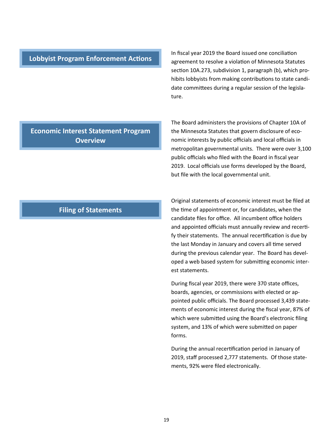#### **Lobbyist Program Enforcement Actions**

In fiscal year 2019 the Board issued one conciliation agreement to resolve a violation of Minnesota Statutes section 10A.273, subdivision 1, paragraph (b), which prohibits lobbyists from making contributions to state candidate committees during a regular session of the legislature.

#### **Economic Interest Statement Program Overview**

The Board administers the provisions of Chapter 10A of the Minnesota Statutes that govern disclosure of economic interests by public officials and local officials in metropolitan governmental units. There were over 3,100 public officials who filed with the Board in fiscal year 2019. Local officials use forms developed by the Board, but file with the local governmental unit.

#### **Filing of Statements**

Original statements of economic interest must be filed at the time of appointment or, for candidates, when the candidate files for office. All incumbent office holders and appointed officials must annually review and recertify their statements. The annual recertification is due by the last Monday in January and covers all time served during the previous calendar year. The Board has developed a web based system for submitting economic interest statements.

During fiscal year 2019, there were 370 state offices, boards, agencies, or commissions with elected or appointed public officials. The Board processed 3,439 statements of economic interest during the fiscal year, 87% of which were submitted using the Board's electronic filing system, and 13% of which were submitted on paper forms.

During the annual recertification period in January of 2019, staff processed 2,777 statements. Of those statements, 92% were filed electronically.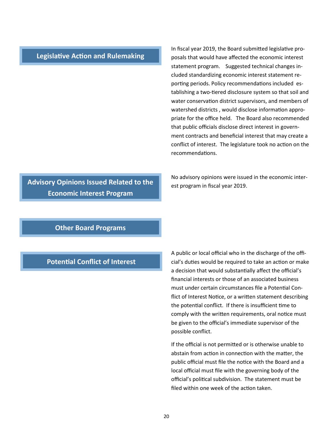#### **Legislative Action and Rulemaking**

In fiscal year 2019, the Board submitted legislative proposals that would have affected the economic interest statement program. Suggested technical changes included standardizing economic interest statement reporting periods. Policy recommendations included establishing a two-tiered disclosure system so that soil and water conservation district supervisors, and members of watershed districts , would disclose information appropriate for the office held. The Board also recommended that public officials disclose direct interest in government contracts and beneficial interest that may create a conflict of interest. The legislature took no action on the recommendations.

No advisory opinions were issued in the economic interest program in fiscal year 2019.

# **Economic Interest Program**

**Advisory Opinions Issued Related to the** 

#### **Other Board Programs**

#### **Potential Conflict of Interest**

A public or local official who in the discharge of the official's duties would be required to take an action or make a decision that would substantially affect the official's financial interests or those of an associated business must under certain circumstances file a Potential Conflict of Interest Notice, or a written statement describing the potential conflict. If there is insufficient time to comply with the written requirements, oral notice must be given to the official's immediate supervisor of the possible conflict.

If the official is not permitted or is otherwise unable to abstain from action in connection with the matter, the public official must file the notice with the Board and a local official must file with the governing body of the official's political subdivision. The statement must be filed within one week of the action taken.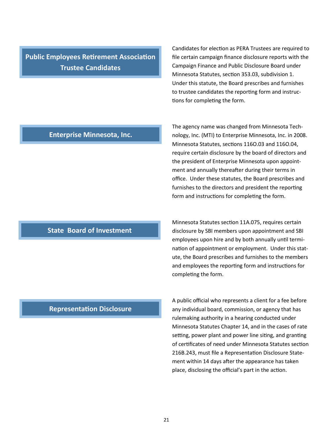**Public Employees Retirement Association Trustee Candidates**

Candidates for election as PERA Trustees are required to file certain campaign finance disclosure reports with the Campaign Finance and Public Disclosure Board under Minnesota Statutes, section 353.03, subdivision 1. Under this statute, the Board prescribes and furnishes to trustee candidates the reporting form and instructions for completing the form.

#### **Enterprise Minnesota, Inc.**

### Minnesota Statutes, sections 116O.03 and 116O.04, require certain disclosure by the board of directors and the president of Enterprise Minnesota upon appointment and annually thereafter during their terms in office. Under these statutes, the Board prescribes and furnishes to the directors and president the reporting form and instructions for completing the form.

The agency name was changed from Minnesota Technology, Inc. (MTI) to Enterprise Minnesota, Inc. in 2008.

#### Minnesota Statutes section 11A.075, requires certain disclosure by SBI members upon appointment and SBI employees upon hire and by both annually until termination of appointment or employment. Under this statute, the Board prescribes and furnishes to the members and employees the reporting form and instructions for completing the form.

#### A public official who represents a client for a fee before any individual board, commission, or agency that has rulemaking authority in a hearing conducted under Minnesota Statutes Chapter 14, and in the cases of rate setting, power plant and power line siting, and granting of certificates of need under Minnesota Statutes section 216B.243, must file a Representation Disclosure Statement within 14 days after the appearance has taken place, disclosing the official's part in the action.

#### **Representation Disclosure**

**State Board of Investment**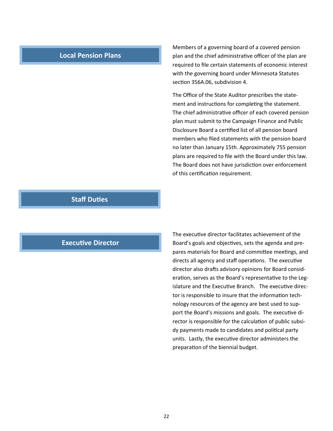#### **Local Pension Plans**

Members of a governing board of a covered pension plan and the chief administrative officer of the plan are required to file certain statements of economic interest with the governing board under Minnesota Statutes section 356A.06, subdivision 4.

The Office of the State Auditor prescribes the statement and instructions for completing the statement. The chief administrative officer of each covered pension plan must submit to the Campaign Finance and Public Disclosure Board a certified list of all pension board members who filed statements with the pension board no later than January 15th. Approximately 755 pension plans are required to file with the Board under this law. The Board does not have jurisdiction over enforcement of this certification requirement.

#### **Staff Duties**

#### **Executive Director**

The executive director facilitates achievement of the Board's goals and objectives, sets the agenda and prepares materials for Board and committee meetings, and directs all agency and staff operations. The executive director also drafts advisory opinions for Board consideration, serves as the Board's representative to the Legislature and the Executive Branch. The executive director is responsible to insure that the information technology resources of the agency are best used to support the Board's missions and goals. The executive director is responsible for the calculation of public subsidy payments made to candidates and political party units. Lastly, the executive director administers the preparation of the biennial budget.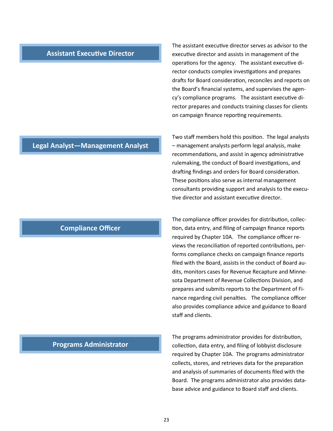#### **Assistant Executive Director**

#### **Legal Analyst—Management Analyst**

#### **Compliance Officer**

#### **Programs Administrator**

The assistant executive director serves as advisor to the executive director and assists in management of the operations for the agency. The assistant executive director conducts complex investigations and prepares drafts for Board consideration, reconciles and reports on the Board's financial systems, and supervises the agency's compliance programs. The assistant executive director prepares and conducts training classes for clients on campaign finance reporting requirements.

Two staff members hold this position. The legal analysts – management analysts perform legal analysis, make recommendations, and assist in agency administrative rulemaking, the conduct of Board investigations, and drafting findings and orders for Board consideration. These positions also serve as internal management consultants providing support and analysis to the executive director and assistant executive director.

The compliance officer provides for distribution, collection, data entry, and filing of campaign finance reports required by Chapter 10A. The compliance officer reviews the reconciliation of reported contributions, performs compliance checks on campaign finance reports filed with the Board, assists in the conduct of Board audits, monitors cases for Revenue Recapture and Minnesota Department of Revenue Collections Division, and prepares and submits reports to the Department of Finance regarding civil penalties. The compliance officer also provides compliance advice and guidance to Board staff and clients.

The programs administrator provides for distribution, collection, data entry, and filing of lobbyist disclosure required by Chapter 10A. The programs administrator collects, stores, and retrieves data for the preparation and analysis of summaries of documents filed with the Board. The programs administrator also provides database advice and guidance to Board staff and clients.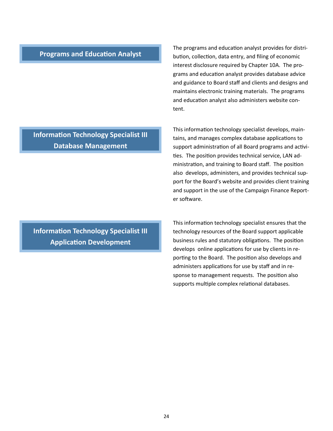#### **Programs and Education Analyst**

The programs and education analyst provides for distribution, collection, data entry, and filing of economic interest disclosure required by Chapter 10A. The programs and education analyst provides database advice and guidance to Board staff and clients and designs and maintains electronic training materials. The programs and education analyst also administers website content.

This information technology specialist develops, maintains, and manages complex database applications to support administration of all Board programs and activities. The position provides technical service, LAN administration, and training to Board staff. The position also develops, administers, and provides technical support for the Board's website and provides client training and support in the use of the Campaign Finance Reporter software.

This information technology specialist ensures that the technology resources of the Board support applicable business rules and statutory obligations. The position develops online applications for use by clients in reporting to the Board. The position also develops and administers applications for use by staff and in response to management requests. The position also supports multiple complex relational databases.

**Information Technology Specialist III Database Management**

**Information Technology Specialist III Application Development**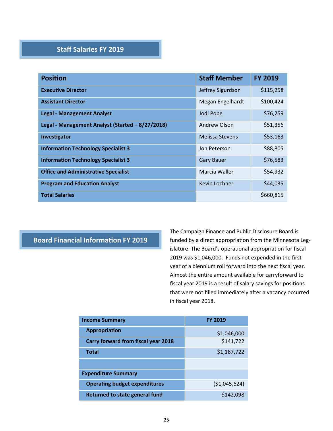#### **Staff Salaries FY 2019**

| <b>Position</b>                                  | <b>Staff Member</b>    | <b>FY 2019</b> |
|--------------------------------------------------|------------------------|----------------|
| <b>Executive Director</b>                        | Jeffrey Sigurdson      | \$115,258      |
| <b>Assistant Director</b>                        | Megan Engelhardt       | \$100,424      |
| <b>Legal - Management Analyst</b>                | Jodi Pope              | \$76,259       |
| Legal - Management Analyst (Started - 8/27/2018) | Andrew Olson           | \$51,356       |
| Investigator                                     | <b>Melissa Stevens</b> | \$53,163       |
| <b>Information Technology Specialist 3</b>       | Jon Peterson           | \$88,805       |
| <b>Information Technology Specialist 3</b>       | <b>Gary Bauer</b>      | \$76,583       |
| <b>Office and Administrative Specialist</b>      | Marcia Waller          | \$54,932       |
| <b>Program and Education Analyst</b>             | Kevin Lochner          | \$44,035       |
| <b>Total Salaries</b>                            |                        | \$660,815      |

#### **Board Financial Information FY 2019**

The Campaign Finance and Public Disclosure Board is funded by a direct appropriation from the Minnesota Legislature. The Board's operational appropriation for fiscal 2019 was \$1,046,000. Funds not expended in the first year of a biennium roll forward into the next fiscal year. Almost the entire amount available for carryforward to fiscal year 2019 is a result of salary savings for positions that were not filled immediately after a vacancy occurred in fiscal year 2018.

| <b>Income Summary</b>                | <b>FY 2019</b> |
|--------------------------------------|----------------|
| <b>Appropriation</b>                 | \$1,046,000    |
| Carry forward from fiscal year 2018  | \$141,722      |
| <b>Total</b>                         | \$1,187,722    |
|                                      |                |
| <b>Expenditure Summary</b>           |                |
| <b>Operating budget expenditures</b> | ( \$1,045,624) |
| Returned to state general fund       | \$142,098      |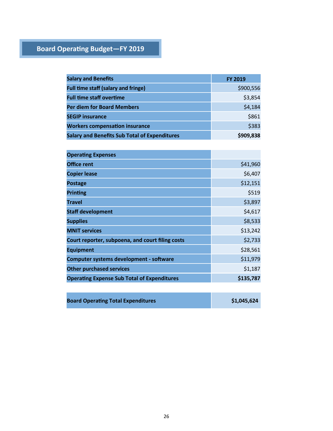### **Board Operating Budget—FY 2019**

| <b>Salary and Benefits</b>                           | <b>FY 2019</b> |
|------------------------------------------------------|----------------|
| <b>Full time staff (salary and fringe)</b>           | \$900,556      |
| <b>Full time staff overtime</b>                      | \$3,854        |
| <b>Per diem for Board Members</b>                    | \$4,184        |
| <b>SEGIP insurance</b>                               | \$861          |
| <b>Workers compensation insurance</b>                | \$383          |
| <b>Salary and Benefits Sub Total of Expenditures</b> | \$909,838      |

| <b>Operating Expenses</b>                          |           |
|----------------------------------------------------|-----------|
| <b>Office rent</b>                                 | \$41,960  |
| <b>Copier lease</b>                                | \$6,407   |
| <b>Postage</b>                                     | \$12,151  |
| <b>Printing</b>                                    | \$519     |
| <b>Travel</b>                                      | \$3,897   |
| <b>Staff development</b>                           | \$4,617   |
| <b>Supplies</b>                                    | \$8,533   |
| <b>MNIT services</b>                               | \$13,242  |
| Court reporter, subpoena, and court filing costs   | \$2,733   |
| <b>Equipment</b>                                   | \$28,561  |
| Computer systems development - software            | \$11,979  |
| <b>Other purchased services</b>                    | \$1,187   |
| <b>Operating Expense Sub Total of Expenditures</b> | \$135,787 |
|                                                    |           |

| <b>Board Operating Total Expenditures</b> | \$1,045,624 |
|-------------------------------------------|-------------|
|-------------------------------------------|-------------|